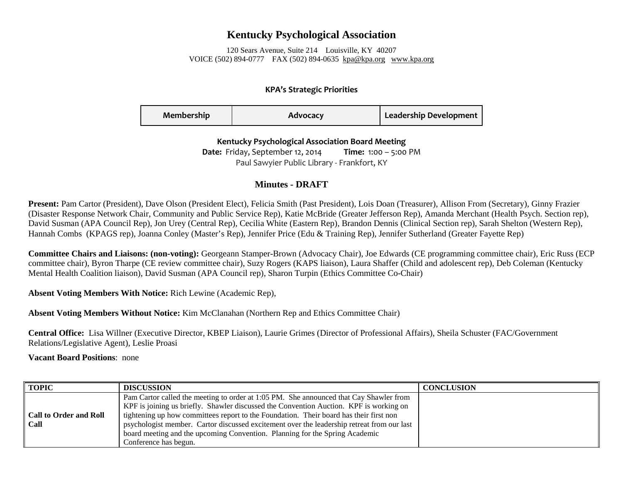## **Kentucky Psychological Association**

120 Sears Avenue, Suite 214 Louisville, KY 40207 VOICE (502) 894-0777 FAX (502) 894-0635 [kpa@kpa.org](mailto:kpa@kih.net) [www.kpa.org](http://www.kpa.org/)

## **KPA's Strategic Priorities**

| Membership | Advocacy | <b>Leadership Development</b> |
|------------|----------|-------------------------------|
|------------|----------|-------------------------------|

## **Kentucky Psychological Association Board Meeting**

**Date:** Friday, September 12, 2014 **Time:** 1:00 – 5:00 PM Paul Sawyier Public Library - Frankfort, KY

## **Minutes - DRAFT**

**Present:** Pam Cartor (President), Dave Olson (President Elect), Felicia Smith (Past President), Lois Doan (Treasurer), Allison From (Secretary), Ginny Frazier (Disaster Response Network Chair, Community and Public Service Rep), Katie McBride (Greater Jefferson Rep), Amanda Merchant (Health Psych. Section rep), David Susman (APA Council Rep), Jon Urey (Central Rep), Cecilia White (Eastern Rep), Brandon Dennis (Clinical Section rep), Sarah Shelton (Western Rep), Hannah Combs (KPAGS rep), Joanna Conley (Master's Rep), Jennifer Price (Edu & Training Rep), Jennifer Sutherland (Greater Fayette Rep)

**Committee Chairs and Liaisons: (non-voting):** Georgeann Stamper-Brown (Advocacy Chair), Joe Edwards (CE programming committee chair), Eric Russ (ECP committee chair), Byron Tharpe (CE review committee chair), Suzy Rogers (KAPS liaison), Laura Shaffer (Child and adolescent rep), Deb Coleman (Kentucky Mental Health Coalition liaison), David Susman (APA Council rep), Sharon Turpin (Ethics Committee Co-Chair)

**Absent Voting Members With Notice:** Rich Lewine (Academic Rep),

**Absent Voting Members Without Notice:** Kim McClanahan (Northern Rep and Ethics Committee Chair)

**Central Office:** Lisa Willner (Executive Director, KBEP Liaison), Laurie Grimes (Director of Professional Affairs), Sheila Schuster (FAC/Government Relations/Legislative Agent), Leslie Proasi

**Vacant Board Positions**: none

| <b>TOPIC</b>                          | <b>DISCUSSION</b>                                                                                                                                                                                                                                                                                                                                                                                                                                                                | <b>CONCLUSION</b> |
|---------------------------------------|----------------------------------------------------------------------------------------------------------------------------------------------------------------------------------------------------------------------------------------------------------------------------------------------------------------------------------------------------------------------------------------------------------------------------------------------------------------------------------|-------------------|
| <b>Call to Order and Roll</b><br>Call | Pam Cartor called the meeting to order at 1:05 PM. She announced that Cay Shawler from<br>KPF is joining us briefly. Shawler discussed the Convention Auction. KPF is working on<br>tightening up how committees report to the Foundation. Their board has their first non<br>psychologist member. Cartor discussed excitement over the leadership retreat from our last<br>board meeting and the upcoming Convention. Planning for the Spring Academic<br>Conference has begun. |                   |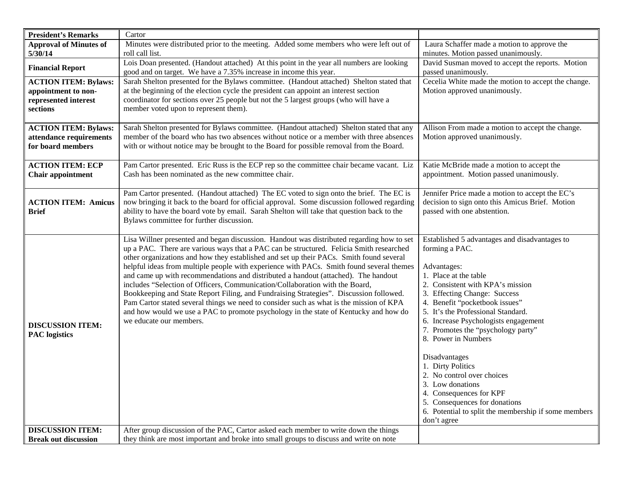| <b>President's Remarks</b>                                                             | Cartor                                                                                                                                                                                                                                                                                                                                                                                                                                                                                                                                                                                                                                                                                                                                                                                                                                                    |                                                                                                                                                                                                                                                                                                                                                                                                                                                                                                                                                                                     |
|----------------------------------------------------------------------------------------|-----------------------------------------------------------------------------------------------------------------------------------------------------------------------------------------------------------------------------------------------------------------------------------------------------------------------------------------------------------------------------------------------------------------------------------------------------------------------------------------------------------------------------------------------------------------------------------------------------------------------------------------------------------------------------------------------------------------------------------------------------------------------------------------------------------------------------------------------------------|-------------------------------------------------------------------------------------------------------------------------------------------------------------------------------------------------------------------------------------------------------------------------------------------------------------------------------------------------------------------------------------------------------------------------------------------------------------------------------------------------------------------------------------------------------------------------------------|
| <b>Approval of Minutes of</b>                                                          | Minutes were distributed prior to the meeting. Added some members who were left out of                                                                                                                                                                                                                                                                                                                                                                                                                                                                                                                                                                                                                                                                                                                                                                    | Laura Schaffer made a motion to approve the                                                                                                                                                                                                                                                                                                                                                                                                                                                                                                                                         |
| 5/30/14                                                                                | roll call list.                                                                                                                                                                                                                                                                                                                                                                                                                                                                                                                                                                                                                                                                                                                                                                                                                                           | minutes. Motion passed unanimously.                                                                                                                                                                                                                                                                                                                                                                                                                                                                                                                                                 |
| <b>Financial Report</b>                                                                | Lois Doan presented. (Handout attached) At this point in the year all numbers are looking<br>good and on target. We have a 7.35% increase in income this year.                                                                                                                                                                                                                                                                                                                                                                                                                                                                                                                                                                                                                                                                                            | David Susman moved to accept the reports. Motion<br>passed unanimously.                                                                                                                                                                                                                                                                                                                                                                                                                                                                                                             |
| <b>ACTION ITEM: Bylaws:</b><br>appointment to non-<br>represented interest<br>sections | Sarah Shelton presented for the Bylaws committee. (Handout attached) Shelton stated that<br>at the beginning of the election cycle the president can appoint an interest section<br>coordinator for sections over 25 people but not the 5 largest groups (who will have a<br>member voted upon to represent them).                                                                                                                                                                                                                                                                                                                                                                                                                                                                                                                                        | Cecelia White made the motion to accept the change.<br>Motion approved unanimously.                                                                                                                                                                                                                                                                                                                                                                                                                                                                                                 |
| <b>ACTION ITEM: Bylaws:</b><br>attendance requirements<br>for board members            | Sarah Shelton presented for Bylaws committee. (Handout attached) Shelton stated that any<br>member of the board who has two absences without notice or a member with three absences<br>with or without notice may be brought to the Board for possible removal from the Board.                                                                                                                                                                                                                                                                                                                                                                                                                                                                                                                                                                            | Allison From made a motion to accept the change.<br>Motion approved unanimously.                                                                                                                                                                                                                                                                                                                                                                                                                                                                                                    |
| <b>ACTION ITEM: ECP</b><br><b>Chair appointment</b>                                    | Pam Cartor presented. Eric Russ is the ECP rep so the committee chair became vacant. Liz<br>Cash has been nominated as the new committee chair.                                                                                                                                                                                                                                                                                                                                                                                                                                                                                                                                                                                                                                                                                                           | Katie McBride made a motion to accept the<br>appointment. Motion passed unanimously.                                                                                                                                                                                                                                                                                                                                                                                                                                                                                                |
| <b>ACTION ITEM: Amicus</b><br><b>Brief</b>                                             | Pam Cartor presented. (Handout attached) The EC voted to sign onto the brief. The EC is<br>now bringing it back to the board for official approval. Some discussion followed regarding<br>ability to have the board vote by email. Sarah Shelton will take that question back to the<br>Bylaws committee for further discussion.                                                                                                                                                                                                                                                                                                                                                                                                                                                                                                                          | Jennifer Price made a motion to accept the EC's<br>decision to sign onto this Amicus Brief. Motion<br>passed with one abstention.                                                                                                                                                                                                                                                                                                                                                                                                                                                   |
| <b>DISCUSSION ITEM:</b><br><b>PAC</b> logistics                                        | Lisa Willner presented and began discussion. Handout was distributed regarding how to set<br>up a PAC. There are various ways that a PAC can be structured. Felicia Smith researched<br>other organizations and how they established and set up their PACs. Smith found several<br>helpful ideas from multiple people with experience with PACs. Smith found several themes<br>and came up with recommendations and distributed a handout (attached). The handout<br>includes "Selection of Officers, Communication/Collaboration with the Board,<br>Bookkeeping and State Report Filing, and Fundraising Strategies". Discussion followed.<br>Pam Cartor stated several things we need to consider such as what is the mission of KPA<br>and how would we use a PAC to promote psychology in the state of Kentucky and how do<br>we educate our members. | Established 5 advantages and disadvantages to<br>forming a PAC.<br>Advantages:<br>1. Place at the table<br>2. Consistent with KPA's mission<br>3. Effecting Change: Success<br>4. Benefit "pocketbook issues"<br>5. It's the Professional Standard.<br>6. Increase Psychologists engagement<br>7. Promotes the "psychology party"<br>8. Power in Numbers<br>Disadvantages<br>1. Dirty Politics<br>2. No control over choices<br>3. Low donations<br>4. Consequences for KPF<br>5. Consequences for donations<br>6. Potential to split the membership if some members<br>don't agree |
| <b>DISCUSSION ITEM:</b>                                                                | After group discussion of the PAC, Cartor asked each member to write down the things                                                                                                                                                                                                                                                                                                                                                                                                                                                                                                                                                                                                                                                                                                                                                                      |                                                                                                                                                                                                                                                                                                                                                                                                                                                                                                                                                                                     |
| <b>Break out discussion</b>                                                            | they think are most important and broke into small groups to discuss and write on note                                                                                                                                                                                                                                                                                                                                                                                                                                                                                                                                                                                                                                                                                                                                                                    |                                                                                                                                                                                                                                                                                                                                                                                                                                                                                                                                                                                     |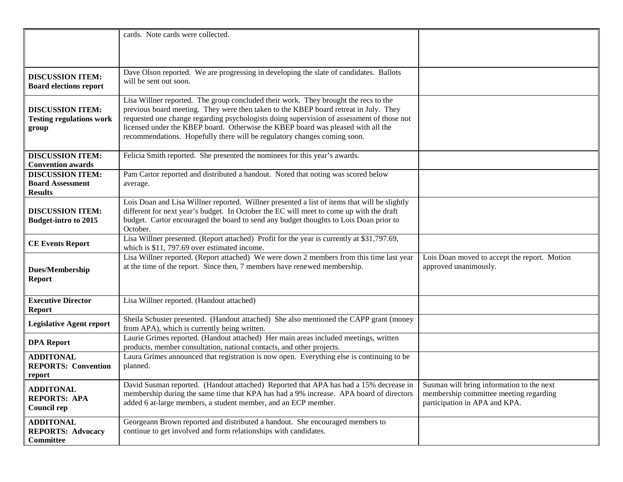|                                                                      | cards. Note cards were collected.                                                                                                                                                                                                                                                                                                                                                                                                        |                                                                                                                      |
|----------------------------------------------------------------------|------------------------------------------------------------------------------------------------------------------------------------------------------------------------------------------------------------------------------------------------------------------------------------------------------------------------------------------------------------------------------------------------------------------------------------------|----------------------------------------------------------------------------------------------------------------------|
|                                                                      |                                                                                                                                                                                                                                                                                                                                                                                                                                          |                                                                                                                      |
|                                                                      |                                                                                                                                                                                                                                                                                                                                                                                                                                          |                                                                                                                      |
|                                                                      |                                                                                                                                                                                                                                                                                                                                                                                                                                          |                                                                                                                      |
| <b>DISCUSSION ITEM:</b><br><b>Board elections report</b>             | Dave Olson reported. We are progressing in developing the slate of candidates. Ballots<br>will be sent out soon.                                                                                                                                                                                                                                                                                                                         |                                                                                                                      |
| <b>DISCUSSION ITEM:</b><br><b>Testing regulations work</b><br>group  | Lisa Willner reported. The group concluded their work. They brought the recs to the<br>previous board meeting. They were then taken to the KBEP board retreat in July. They<br>requested one change regarding psychologists doing supervision of assessment of those not<br>licensed under the KBEP board. Otherwise the KBEP board was pleased with all the<br>recommendations. Hopefully there will be regulatory changes coming soon. |                                                                                                                      |
| <b>DISCUSSION ITEM:</b><br><b>Convention awards</b>                  | Felicia Smith reported. She presented the nominees for this year's awards.                                                                                                                                                                                                                                                                                                                                                               |                                                                                                                      |
| <b>DISCUSSION ITEM:</b><br><b>Board Assessment</b><br><b>Results</b> | Pam Cartor reported and distributed a handout. Noted that noting was scored below<br>average.                                                                                                                                                                                                                                                                                                                                            |                                                                                                                      |
| <b>DISCUSSION ITEM:</b><br><b>Budget-intro to 2015</b>               | Lois Doan and Lisa Willner reported. Willner presented a list of items that will be slightly<br>different for next year's budget. In October the EC will meet to come up with the draft<br>budget. Cartor encouraged the board to send any budget thoughts to Lois Doan prior to<br>October.                                                                                                                                             |                                                                                                                      |
| <b>CE Events Report</b>                                              | Lisa Willner presented. (Report attached) Profit for the year is currently at \$31,797.69,<br>which is \$11, 797.69 over estimated income.                                                                                                                                                                                                                                                                                               |                                                                                                                      |
| <b>Dues/Membership</b><br><b>Report</b>                              | Lisa Willner reported. (Report attached) We were down 2 members from this time last year<br>at the time of the report. Since then, 7 members have renewed membership.                                                                                                                                                                                                                                                                    | Lois Doan moved to accept the report. Motion<br>approved unanimously.                                                |
| <b>Executive Director</b><br><b>Report</b>                           | Lisa Willner reported. (Handout attached)                                                                                                                                                                                                                                                                                                                                                                                                |                                                                                                                      |
| <b>Legislative Agent report</b>                                      | Sheila Schuster presented. (Handout attached) She also mentioned the CAPP grant (money<br>from APA), which is currently being written.                                                                                                                                                                                                                                                                                                   |                                                                                                                      |
| <b>DPA Report</b>                                                    | Laurie Grimes reported. (Handout attached) Her main areas included meetings, written<br>products, member consultation, national contacts, and other projects.                                                                                                                                                                                                                                                                            |                                                                                                                      |
| <b>ADDITONAL</b><br><b>REPORTS: Convention</b><br>report             | Laura Grimes announced that registration is now open. Everything else is continuing to be<br>planned.                                                                                                                                                                                                                                                                                                                                    |                                                                                                                      |
| <b>ADDITONAL</b><br><b>REPORTS: APA</b><br><b>Council rep</b>        | David Susman reported. (Handout attached) Reported that APA has had a 15% decrease in<br>membership during the same time that KPA has had a 9% increase. APA board of directors<br>added 6 at-large members, a student member, and an ECP member.                                                                                                                                                                                        | Susman will bring information to the next<br>membership committee meeting regarding<br>participation in APA and KPA. |
| <b>ADDITONAL</b><br><b>REPORTS: Advocacy</b><br>Committee            | Georgeann Brown reported and distributed a handout. She encouraged members to<br>continue to get involved and form relationships with candidates.                                                                                                                                                                                                                                                                                        |                                                                                                                      |